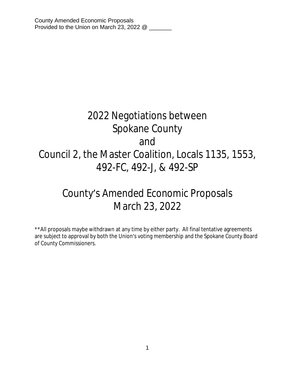# 2022 Negotiations between Spokane County and Council 2, the Master Coalition, Locals 1135, 1553, 492-FC, 492-J, & 492-SP

# County's Amended Economic Proposals March 23, 2022

\*\*All proposals maybe withdrawn at any time by either party. All final tentative agreements are subject to approval by both the Union's voting membership and the Spokane County Board of County Commissioners.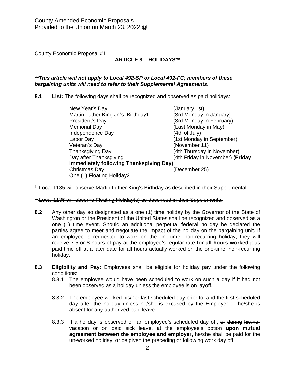# **ARTICLE 8 – HOLIDAYS\*\***

#### *\*\*This article will not apply to Local 492-SP or Local 492-FC; members of these bargaining units will need to refer to their Supplemental Agreements.*

**8.1 List:** The following days shall be recognized and observed as paid holidays:

| (January 1st)                           |  |  |
|-----------------------------------------|--|--|
| (3rd Monday in January)                 |  |  |
| (3rd Monday in February)                |  |  |
| (Last Monday in May)                    |  |  |
| (4th of July)                           |  |  |
| (1st Monday in September)               |  |  |
| (November 11)                           |  |  |
| (4th Thursday in November)              |  |  |
| (4th Friday in November) (Friday        |  |  |
| immediately following Thanksgiving Day) |  |  |
| (December 25)                           |  |  |
|                                         |  |  |
|                                         |  |  |

<sup>1-</sup> Local 1135 will observe Martin Luther King's Birthday as described in their Supplemental

<sup>2.</sup> Local 1135 will observe Floating Holiday(s) as described in their Supplemental

- **8.2** Any other day so designated as a one (1) time holiday by the Governor of the State of Washington or the President of the United States shall be recognized and observed as a one (1) time event. Should an additional perpetual **federal** holiday be declared the parties agree to meet and negotiate the impact of the holiday on the bargaining unit. If an employee is requested to work on the one-time, non-recurring holiday, they will receive 7.5 or 8 hours of pay at the employee's regular rate **for all hours worked** plus paid time off at a later date for all hours actually worked on the one-time, non-recurring holiday.
- **8.3 Eligibility and Pay:** Employees shall be eligible for holiday pay under the following conditions:
	- 8.3.1 The employee would have been scheduled to work on such a day if it had not been observed as a holiday unless the employee is on layoff.
	- 8.3.2 The employee worked his/her last scheduled day prior to, and the first scheduled day after the holiday unless he/she is excused by the Employer or he/she is absent for any authorized paid leave.
	- 8.3.3 If a holiday is observed on an employee's scheduled day off**,** or during his/her vacation or on paid sick leave, at the employee's option **upon mutual agreement between the employee and employer,** he/she shall be paid for the un-worked holiday, or be given the preceding or following work day off.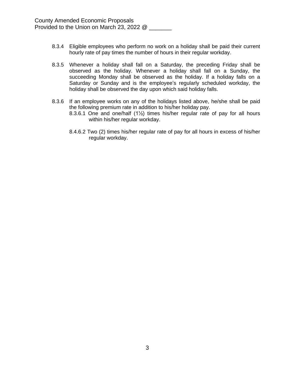- 8.3.4 Eligible employees who perform no work on a holiday shall be paid their current hourly rate of pay times the number of hours in their regular workday.
- 8.3.5 Whenever a holiday shall fall on a Saturday, the preceding Friday shall be observed as the holiday. Whenever a holiday shall fall on a Sunday, the succeeding Monday shall be observed as the holiday. If a holiday falls on a Saturday or Sunday and is the employee's regularly scheduled workday, the holiday shall be observed the day upon which said holiday falls.
- 8.3.6 If an employee works on any of the holidays listed above, he/she shall be paid the following premium rate in addition to his/her holiday pay.
	- 8.3.6.1 One and one/half (1½) times his/her regular rate of pay for all hours within his/her regular workday.
	- 8.4.6.2 Two (2) times his/her regular rate of pay for all hours in excess of his/her regular workday.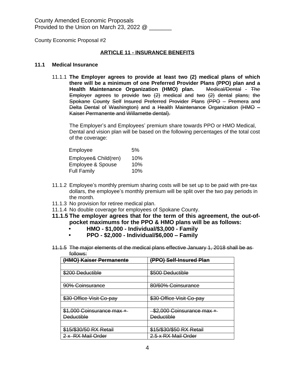## **ARTICLE 11 - INSURANCE BENEFITS**

#### **11.1 Medical Insurance**

11.1.1 **The Employer agrees to provide at least two (2) medical plans of which there will be a minimum of one Preferred Provider Plans (PPO) plan and a Health Maintenance Organization (HMO) plan.** Medical/Dental - The Employer agrees to provide two (2) medical and two (2) dental plans; the Spokane County Self Insured Preferred Provider Plans (PPO – Premera and Delta Dental of Washington) and a Health Maintenance Organization (HMO – Kaiser Permanente and Willamette dental).

The Employer's and Employees' premium share towards PPO or HMO Medical, Dental and vision plan will be based on the following percentages of the total cost of the coverage:

| Employee             | .5% |
|----------------------|-----|
| Employee& Child(ren) | 10% |
| Employee & Spouse    | 10% |
| <b>Full Family</b>   | 10% |

- 11.1.2 Employee's monthly premium sharing costs will be set up to be paid with pre-tax dollars, the employee's monthly premium will be split over the two pay periods in the month.
- 11.1.3 No provision for retiree medical plan.
- 11.1.4 No double coverage for employees of Spokane County.
- **11.1.5 The employer agrees that for the term of this agreement, the out-ofpocket maximums for the PPO & HMO plans will be as follows:**
	- **• HMO \$1,000 Individual/\$3,000 Family**
	- **• PPO \$2,000 Individual/\$6,000 – Family**
- 11.1.5 The major elements of the medical plans effective January 1, 2018 shall be as follows:

| (HMO) Kaiser Permanente   | (PPO) Self-Insured Plan   |
|---------------------------|---------------------------|
|                           |                           |
| \$200 Deductible          | \$500 Deductible          |
|                           |                           |
| 90% Coinsurance           | 80/60% Coinsurance        |
|                           |                           |
| \$30 Office Visit Co-pay  | \$30 Office Visit Co-pay  |
|                           |                           |
| \$1,000 Coinsurance max + | \$2,000 Coinsurance max + |
| <b>Deductible</b>         | <b>Deductible</b>         |
|                           |                           |
| \$15/\$30/50 RX Retail    | \$15/\$30/\$50 RX Retail  |
| 2 x RX Mail Order         | 2.5 x RX Mail Order       |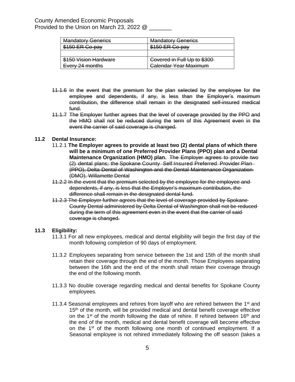| <b>Mandatory Generics</b> | <b>Mandatory Generics</b>    |
|---------------------------|------------------------------|
| \$150 ER Co-pay           | \$150 ER Co-pay              |
|                           |                              |
| \$150 Vision Hardware     | Covered in Full Up to \$300  |
| Every 24 months           | <b>Calendar Year Maximum</b> |

- 11.1.6 In the event that the premium for the plan selected by the employee for the employee and dependents, if any, is less than the Employer's maximum contribution, the difference shall remain in the designated self-insured medical fund.
- 11.1.7 The Employer further agrees that the level of coverage provided by the PPO and the HMO shall not be reduced during the term of this Agreement even in the event the carrier of said coverage is changed.

#### **11.2 Dental Insurance:**

- 11.2.1 **The Employer agrees to provide at least two (2) dental plans of which there will be a minimum of one Preferred Provider Plans (PPO) plan and a Dental Maintenance Organization (HMO) plan.** The Employer agrees to provide two (2) dental plans; the Spokane County Self Insured Preferred Provider Plan (PPO), Delta Dental of Washington and the Dental Maintenance Organization (DMO), Willamette Dental
- 11.2.2 In the event that the premium selected by the employee for the employee and dependents, if any, is less that the Employer's maximum contribution, the difference shall remain in the designated dental fund.
- 11.2.3 The Employer further agrees that the level of coverage provided by Spokane County Dental administered by Delta Dental of Washington shall not be reduced during the term of this agreement even in the event that the carrier of said coverage is changed.

#### **11.3 Eligibility:**

- 11.3.1 For all new employees, medical and dental eligibility will begin the first day of the month following completion of 90 days of employment.
- 11.3.2 Employees separating from service between the 1st and 15th of the month shall retain their coverage through the end of the month. Those Employees separating between the 16th and the end of the month shall retain their coverage through the end of the following month.
- 11.3.3 No double coverage regarding medical and dental benefits for Spokane County employees.
- 11.3.4 Seasonal employees and rehires from layoff who are rehired between the  $1<sup>st</sup>$  and 15<sup>th</sup> of the month, will be provided medical and dental benefit coverage effective on the 1<sup>st</sup> of the month following the date of rehire. If rehired between 16<sup>th</sup> and the end of the month, medical and dental benefit coverage will become effective on the 1<sup>st</sup> of the month following one month of continued employment. If a Seasonal employee is not rehired immediately following the off season (takes a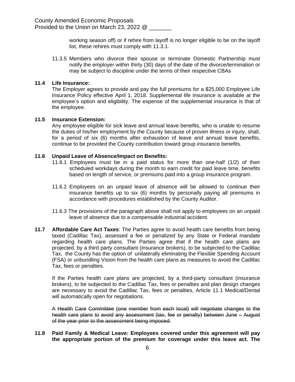working season off) or if rehire from layoff is no longer eligible to be on the layoff list, these rehires must comply with 11.3.1.

11.3.5 Members who divorce their spouse or terminate Domestic Partnership must notify the employer within thirty (30) days of the date of the divorce/termination or may be subject to discipline under the terms of their respective CBAs

#### **11.4 Life Insurance:**

The Employer agrees to provide and pay the full premiums for a \$25,000 Employee Life Insurance Policy effective April 1, 2018. Supplemental life insurance is available at the employee's option and eligibility. The expense of the supplemental insurance is that of the employee.

#### **11.5 Insurance Extension:**

Any employee eligible for sick leave and annual leave benefits, who is unable to resume the duties of his/her employment by the County because of proven illness or injury, shall, for a period of six (6) months after exhaustion of leave and annual leave benefits, continue to be provided the County contribution toward group insurance benefits.

#### **11.6 Unpaid Leave of Absence/Impact on Benefits:**

- 11.6.1 Employees must be in a paid status for more than one-half (1/2) of their scheduled workdays during the month to earn credit for paid leave time, benefits based on length of service, or premiums paid into a group insurance program.
- 11.6.2 Employees on an unpaid leave of absence will be allowed to continue their insurance benefits up to six (6) months by personally paying all premiums in accordance with procedures established by the County Auditor.
- 11.6.3 The provisions of the paragraph above shall not apply to employees on an unpaid leave of absence due to a compensable industrial accident.
- **11.7 Affordable Care Act Taxes**: The Parties agree to avoid health care benefits from being taxed (Cadillac Tax), assessed a fee or penalized by any State or Federal mandate regarding health care plans. The Parties agree that if the health care plans are projected, by a third party consultant (insurance brokers), to be subjected to the Cadillac Tax, the County has the option of unilaterally eliminating the Flexible Spending Account (FSA) or unbundling Vision from the health care plans as measures to avoid the Cadillac Tax, fees or penalties.

If the Parties health care plans are projected, by a third-party consultant (insurance brokers), to be subjected to the Cadillac Tax, fees or penalties and plan design changes are necessary to avoid the Cadillac Tax, fees or penalties, Article 11.1 Medical/Dental will automatically open for negotiations.

A Health Care Committee (one member from each local) will negotiate changes to the health care plans to avoid any assessment (tax, fee or penalty) between June - August of the year prior to the assessment being imposed.

#### **11.8 Paid Family & Medical Leave: Employees covered under this agreement will pay the appropriate portion of the premium for coverage under this leave act. The**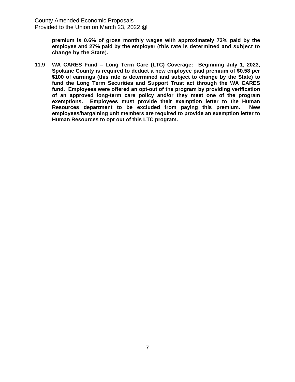**premium is 0.6% of gross monthly wages with approximately 73% paid by the employee and 27% paid by the employer** (**this rate is determined and subject to change by the State**)**.**

**11.9 WA CARES Fund – Long Term Care (LTC) Coverage: Beginning July 1, 2023, Spokane County is required to deduct a new employee paid premium of \$0.58 per \$100 of earnings (this rate is determined and subject to change by the State) to fund the Long Term Securities and Support Trust act through the WA CARES fund. Employees were offered an opt-out of the program by providing verification of an approved long-term care policy and/or they meet one of the program exemptions. Employees must provide their exemption letter to the Human Resources department to be excluded from paying this premium. New employees/bargaining unit members are required to provide an exemption letter to Human Resources to opt out of this LTC program.**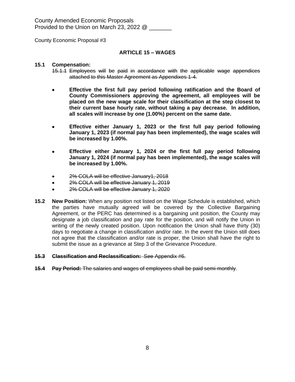County Economic Proposal #3

#### **ARTICLE 15 – WAGES**

#### **15.1 Compensation:**

- 15.1.1 Employees will be paid in accordance with the applicable wage appendices attached to this Master Agreement as Appendixes 1-4.
- **Effective the first full pay period following ratification and the Board of County Commissioners approving the agreement, all employees will be placed on the new wage scale for their classification at the step closest to their current base hourly rate, without taking a pay decrease. In addition, all scales will increase by one (1.00%) percent on the same date.**
- **Effective either January 1, 2023 or the first full pay period following January 1, 2023 (if normal pay has been implemented), the wage scales will be increased by 1.00%.**
- **Effective either January 1, 2024 or the first full pay period following January 1, 2024 (if normal pay has been implemented), the wage scales will be increased by 1.00%.**
- 2% COLA will be effective January1, 2018
- 2% COLA will be effective January 1, 2019
- 2% COLA will be effective January 1, 2020
- **15.2 New Position:** When any position not listed on the Wage Schedule is established, which the parties have mutually agreed will be covered by the Collective Bargaining Agreement, or the PERC has determined is a bargaining unit position, the County may designate a job classification and pay rate for the position, and will notify the Union in writing of the newly created position. Upon notification the Union shall have thirty (30) days to negotiate a change in classification and/or rate. In the event the Union still does not agree that the classification and/or rate is proper, the Union shall have the right to submit the issue as a grievance at Step 3 of the Grievance Procedure.

#### **15.3 Classification and Reclassification:** See Appendix #6.

**15.4 Pay Period:** The salaries and wages of employees shall be paid semi-monthly.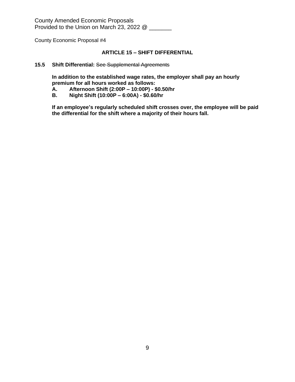County Economic Proposal #4

# **ARTICLE 15 – SHIFT DIFFERENTIAL**

#### **15.5 Shift Differential:** See Supplemental Agreements

**In addition to the established wage rates, the employer shall pay an hourly premium for all hours worked as follows:**

- **A. Afternoon Shift (2:00P – 10:00P) \$0.50/hr**
- **B. Night Shift (10:00P – 6:00A) \$0.60/hr**

**If an employee's regularly scheduled shift crosses over, the employee will be paid the differential for the shift where a majority of their hours fall.**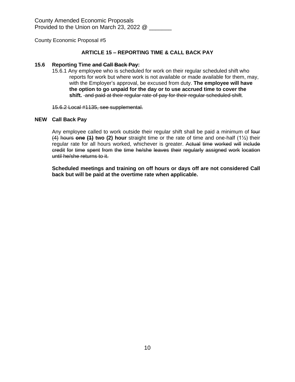## **ARTICLE 15 – REPORTING TIME & CALL BACK PAY**

#### **15.6 Reporting Time and Call Back Pay:**

15.6.1 Any employee who is scheduled for work on their regular scheduled shift who reports for work but where work is not available or made available for them, may, with the Employer's approval, be excused from duty. **The employee will have the option to go unpaid for the day or to use accrued time to cover the shift.** and paid at their regular rate of pay for their regular scheduled shift.

15.6.2 Local #1135, see supplemental.

#### **NEW Call Back Pay**

Any employee called to work outside their regular shift shall be paid a minimum of four (4) hours **one (1) two (2) hour** straight time or the rate of time and one-half (1½) their regular rate for all hours worked, whichever is greater. Actual time worked will include credit for time spent from the time he/she leaves their regularly assigned work location until he/she returns to it.

**Scheduled meetings and training on off hours or days off are not considered Call back but will be paid at the overtime rate when applicable.**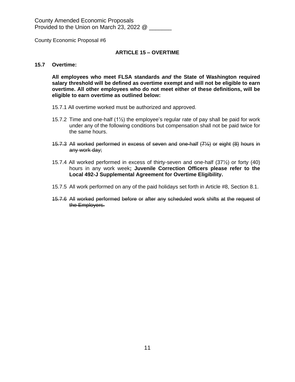County Economic Proposal #6

#### **ARTICLE 15 – OVERTIME**

#### **15.7 Overtime:**

**All employees who meet FLSA standards** *and* **the State of Washington required salary threshold will be defined as overtime exempt and will not be eligible to earn overtime. All other employees who do not meet either of these definitions, will be eligible to earn overtime as outlined below:**

- 15.7.1 All overtime worked must be authorized and approved.
- 15.7.2 Time and one-half  $(1/2)$  the employee's regular rate of pay shall be paid for work under any of the following conditions but compensation shall not be paid twice for the same hours.
- 15.7.3 All worked performed in excess of seven and one-half (7½) or eight (8) hours in any work day;
- 15.7.4 All worked performed in excess of thirty-seven and one-half (37½) or forty (40) hours in any work week**; Juvenile Correction Officers please refer to the Local 492-J Supplemental Agreement for Overtime Eligibility.**
- 15.7.5 All work performed on any of the paid holidays set forth in Article #8, Section 8.1.
- 15.7.6 All worked performed before or after any scheduled work shifts at the request of the Employers.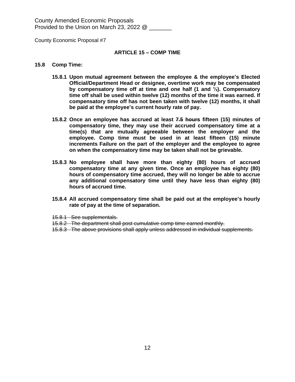County Economic Proposal #7

#### **ARTICLE 15 – COMP TIME**

#### **15.8 Comp Time:**

- **15.8.1 Upon mutual agreement between the employee & the employee's Elected Official/Department Head or designee, overtime work may be compensated by compensatory time off at time and one half (1 and ½). Compensatory time off shall be used within twelve (12) months of the time it was earned. If compensatory time off has not been taken with twelve (12) months, it shall be paid at the employee's current hourly rate of pay.**
- **15.8.2 Once an employee has accrued at least 7.5 hours fifteen (15) minutes of compensatory time, they may use their accrued compensatory time at a time(s) that are mutually agreeable between the employer and the employee. Comp time must be used in at least fifteen (15) minute increments Failure on the part of the employer and the employee to agree on when the compensatory time may be taken shall not be grievable.**
- **15.8.3 No employee shall have more than eighty (80) hours of accrued compensatory time at any given time. Once an employee has eighty (80) hours of compensatory time accrued, they will no longer be able to accrue any additional compensatory time until they have less than eighty (80) hours of accrued time.**
- **15.8.4 All accrued compensatory time shall be paid out at the employee's hourly rate of pay at the time of separation.**
- 15.8.1 See supplementals.
- 15.8.2 The department shall post cumulative comp time earned monthly.
- 15.8.3 The above provisions shall apply unless addressed in individual supplements.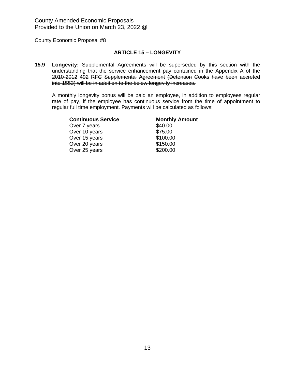#### **ARTICLE 15 – LONGEVITY**

**15.9 Longevity:** Supplemental Agreements will be superseded by this section with the understanding that the service enhancement pay contained in the Appendix A of the 2010-2012 492 RFC Supplemental Agreement (Detention Cooks have been accreted into 1553) will be in addition to the below longevity increases.

A monthly longevity bonus will be paid an employee, in addition to employees regular rate of pay, if the employee has continuous service from the time of appointment to regular full time employment. Payments will be calculated as follows:

| <b>Continuous Service</b> | <b>Monthly Amount</b> |
|---------------------------|-----------------------|
| Over 7 years              | \$40.00               |
| Over 10 years             | \$75.00               |
| Over 15 years             | \$100.00              |
| Over 20 years             | \$150.00              |
| Over 25 years             | \$200.00              |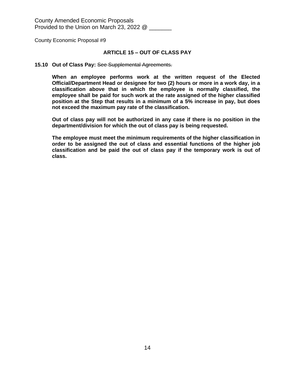#### **ARTICLE 15 – OUT OF CLASS PAY**

#### **15.10 Out of Class Pay:** See Supplemental Agreements.

**When an employee performs work at the written request of the Elected Official/Department Head or designee for two (2) hours or more in a work day, in a classification above that in which the employee is normally classified, the employee shall be paid for such work at the rate assigned of the higher classified position at the Step that results in a minimum of a 5% increase in pay, but does not exceed the maximum pay rate of the classification.**

**Out of class pay will not be authorized in any case if there is no position in the department/division for which the out of class pay is being requested.**

**The employee must meet the minimum requirements of the higher classification in order to be assigned the out of class and essential functions of the higher job classification and be paid the out of class pay if the temporary work is out of class.**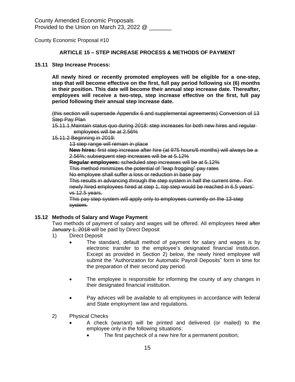#### **ARTICLE 15 – STEP INCREASE PROCESS & METHODS OF PAYMENT**

#### **15.11 Step Increase Process:**

**All newly hired or recently promoted employees will be eligible for a one-step, step that will become effective on the first, full pay period following six (6) months in their position. This date will become their annual step increase date. Thereafter, employees will receive a two-step, step increase effective on the first, full pay period following their annual step increase date.**

(this section will supersede Appendix 6 and supplemental agreements) Conversion of 13 **Step Pay Plan** 

- 15.11.1 Maintain status quo during 2018: step increases for both new hires and regular employees will be at 2.56%
- 15.11.2 Beginning in 2019:

13 step range will remain in place

**New hires:** first step increase after hire (at 975 hours/6 months) will always be a 2.56%; subsequent step increases will be at 5.12%

**Regular employees:** scheduled step increases will be at 5.12%

This method minimizes the potential of "leap frogging" pay rates

No employee shall suffer a loss or reduction in base pay

This results in advancing through the step system in half the current time. For newly hired employees hired at step 1, top step would be reached in 6.5 years' vs 12.5 years.

This pay step system will apply only to employees currently on the 13-step system.

# **15.12 Methods of Salary and Wage Payment**

Two methods of payment of salary and wages will be offered. All employees hired after January 1, 2018 will be paid by Direct Deposit

- 1) Direct Deposit
	- The standard, default method of payment for salary and wages is by electronic transfer to the employee's designated financial institution. Except as provided in Section 2) below, the newly hired employee will submit the "Authorization for Automatic Payroll Deposits" form in time for the preparation of their second pay period.
	- The employee is responsible for informing the county of any changes in their designated financial institution.
	- Pay advices will be available to all employees in accordance with federal and State employment law and regulations.
- 2) Physical Checks
	- A check (warrant) will be printed and delivered (or mailed) to the employee only in the following situations:
		- The first paycheck of a new hire for a permanent position;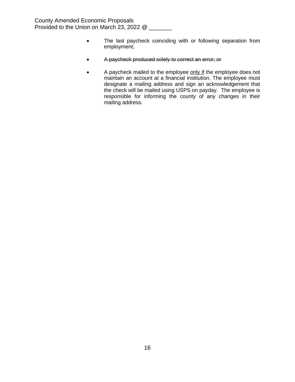- The last paycheck coinciding with or following separation from employment;
- A paycheck produced solely to correct an error; or
- A paycheck mailed to the employee only if the employee does not maintain an account at a financial institution. The employee must designate a mailing address and sign an acknowledgement that the check will be mailed using USPS on payday. The employee is responsible for informing the county of any changes in their mailing address.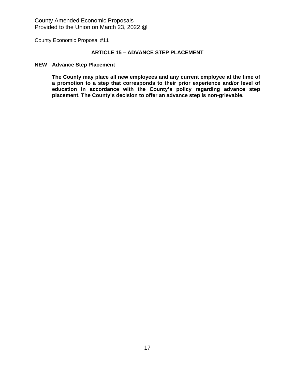County Economic Proposal #11

# **ARTICLE 15 – ADVANCE STEP PLACEMENT**

#### **NEW Advance Step Placement**

**The County may place all new employees and any current employee at the time of a promotion to a step that corresponds to their prior experience and/or level of education in accordance with the County's policy regarding advance step placement. The County's decision to offer an advance step is non-grievable.**